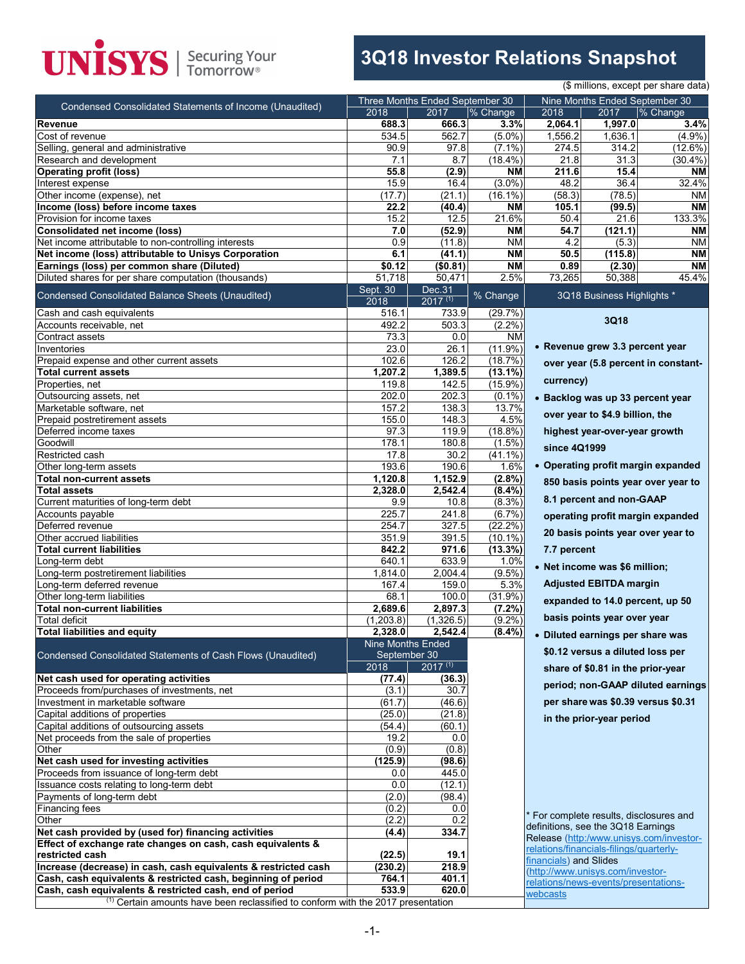# **UNISYS** | Securing Your

## **3Q18 Investor Relations Snapshot**

|                                                                                                              | (\$ millions, except per share data) |                                                                                             |                         |                                         |                                   |                                         |  |  |  |
|--------------------------------------------------------------------------------------------------------------|--------------------------------------|---------------------------------------------------------------------------------------------|-------------------------|-----------------------------------------|-----------------------------------|-----------------------------------------|--|--|--|
| Condensed Consolidated Statements of Income (Unaudited)                                                      |                                      | Three Months Ended September 30                                                             |                         | Nine Months Ended September 30          |                                   |                                         |  |  |  |
|                                                                                                              | 2018                                 | 2017                                                                                        | % Change                | 2018                                    | 2017                              | % Change                                |  |  |  |
| Revenue                                                                                                      | 688.3                                | 666.3                                                                                       | 3.3%                    | 2,064.1                                 | 1,997.0                           | 3.4%                                    |  |  |  |
| Cost of revenue<br>Selling, general and administrative                                                       | 534.5<br>90.9                        | 562.7<br>97.8                                                                               | $(5.0\%)$<br>$(7.1\%)$  | 1,556.2<br>274.5                        | 1,636.1<br>314.2                  | $(4.9\%)$<br>(12.6%)                    |  |  |  |
| Research and development                                                                                     | 7.1                                  | 8.7                                                                                         | $(18.4\%)$              | 21.8                                    | 31.3                              | $(30.4\%)$                              |  |  |  |
| <b>Operating profit (loss)</b>                                                                               | 55.8                                 | (2.9)                                                                                       | <b>NM</b>               | 211.6                                   | 15.4                              | <b>NM</b>                               |  |  |  |
| Interest expense                                                                                             | 15.9                                 | 16.4                                                                                        | $(3.0\%)$               | 48.2                                    | 36.4                              | 32.4%                                   |  |  |  |
| Other income (expense), net                                                                                  | (17.7)                               | (21.1)                                                                                      | $(16.1\%)$              | (58.3)                                  | (78.5)                            | ΝM                                      |  |  |  |
| Income (loss) before income taxes                                                                            | 22.2                                 | (40.4)                                                                                      | <b>NM</b>               | 105.1                                   | (99.5)                            | <b>NM</b>                               |  |  |  |
| Provision for income taxes                                                                                   | 15.2                                 | 12.5                                                                                        | 21.6%                   | 50.4                                    | 21.6                              | 133.3%                                  |  |  |  |
| <b>Consolidated net income (loss)</b>                                                                        | 7.0                                  | (52.9)                                                                                      | <b>NM</b>               | 54.7                                    | (121.1)                           | <b>NM</b>                               |  |  |  |
| Net income attributable to non-controlling interests<br>Net income (loss) attributable to Unisys Corporation | 0.9<br>6.1                           | (11.8)<br>(41.1)                                                                            | <b>NM</b><br><b>NM</b>  | 4.2<br>50.5                             | (5.3)<br>(115.8)                  | ΝM<br><b>NM</b>                         |  |  |  |
| Earnings (loss) per common share (Diluted)                                                                   | \$0.12                               | (\$0.81)                                                                                    | <b>NM</b>               | 0.89                                    | (2.30)                            | <b>NM</b>                               |  |  |  |
| Diluted shares for per share computation (thousands)                                                         | 51,718                               | 50,471                                                                                      | 2.5%                    | 73,265                                  | 50,388                            | 45.4%                                   |  |  |  |
|                                                                                                              | Sept. 30                             | Dec.31                                                                                      |                         |                                         |                                   |                                         |  |  |  |
| Condensed Consolidated Balance Sheets (Unaudited)                                                            | 2018                                 | $2017^{(1)}$                                                                                | % Change                |                                         | 3Q18 Business Highlights *        |                                         |  |  |  |
| Cash and cash equivalents                                                                                    | 516.1                                | 733.9                                                                                       | (29.7%)                 |                                         | 3Q18                              |                                         |  |  |  |
| Accounts receivable, net                                                                                     | 492.2                                | 503.3                                                                                       | $(2.2\%)$               |                                         |                                   |                                         |  |  |  |
| Contract assets<br>Inventories                                                                               | 73.3<br>23.0                         | 0.0<br>26.1                                                                                 | <b>NM</b><br>$(11.9\%)$ |                                         | • Revenue grew 3.3 percent year   |                                         |  |  |  |
| Prepaid expense and other current assets                                                                     | 102.6                                | 126.2                                                                                       | (18.7%)                 |                                         |                                   |                                         |  |  |  |
| <b>Total current assets</b>                                                                                  | 1,207.2                              | 1,389.5                                                                                     | $(13.1\%)$              |                                         |                                   | over year (5.8 percent in constant-     |  |  |  |
| Properties, net                                                                                              | 119.8                                | 142.5                                                                                       | (15.9%)                 | currency)                               |                                   |                                         |  |  |  |
| Outsourcing assets, net                                                                                      | 202.0                                | 202.3                                                                                       | $(0.1\%)$               |                                         |                                   | • Backlog was up 33 percent year        |  |  |  |
| Marketable software, net                                                                                     | 157.2                                | 138.3                                                                                       | 13.7%                   |                                         |                                   |                                         |  |  |  |
| Prepaid postretirement assets                                                                                | 155.0                                | 148.3                                                                                       | 4.5%                    |                                         | over year to \$4.9 billion, the   |                                         |  |  |  |
| Deferred income taxes                                                                                        | 97.3                                 | 119.9                                                                                       | (18.8%)                 |                                         | highest year-over-year growth     |                                         |  |  |  |
| Goodwill                                                                                                     | 178.1                                | 180.8                                                                                       | $(1.5\%)$               | since 4Q1999                            |                                   |                                         |  |  |  |
| Restricted cash<br>Other long-term assets                                                                    | 17.8<br>193.6                        | 30.2<br>190.6                                                                               | $(41.1\%)$<br>1.6%      |                                         |                                   | • Operating profit margin expanded      |  |  |  |
| <b>Total non-current assets</b>                                                                              | 1,120.8                              | 1,152.9                                                                                     | (2.8%)                  |                                         |                                   |                                         |  |  |  |
| Total assets                                                                                                 | 2,328.0                              | 2,542.4                                                                                     | $(8.4\%)$               |                                         |                                   | 850 basis points year over year to      |  |  |  |
| Current maturities of long-term debt                                                                         | 9.9                                  | 10.8                                                                                        | $(8.3\%)$               |                                         | 8.1 percent and non-GAAP          |                                         |  |  |  |
| Accounts payable                                                                                             | 225.7                                | 241.8                                                                                       | (6.7%)                  |                                         |                                   | operating profit margin expanded        |  |  |  |
| Deferred revenue                                                                                             | 254.7                                | 327.5                                                                                       | (22.2%                  |                                         |                                   |                                         |  |  |  |
| Other accrued liabilities                                                                                    | 351.9                                | 391.5                                                                                       | $(10.1\%)$              |                                         |                                   | 20 basis points year over year to       |  |  |  |
| <b>Total current liabilities</b>                                                                             | 842.2                                | 971.6                                                                                       | (13.3%)                 | 7.7 percent                             |                                   |                                         |  |  |  |
| Long-term debt                                                                                               | 640.1                                | 633.9                                                                                       | 1.0%                    |                                         | • Net income was \$6 million;     |                                         |  |  |  |
| Long-term postretirement liabilities<br>Long-term deferred revenue                                           | 1,814.0<br>167.4                     | 2,004.4<br>159.0                                                                            | $(9.5\%)$<br>5.3%       |                                         | <b>Adjusted EBITDA margin</b>     |                                         |  |  |  |
| Other long-term liabilities                                                                                  | 68.1                                 | 100.0                                                                                       | (31.9%)                 |                                         |                                   |                                         |  |  |  |
| <b>Total non-current liabilities</b>                                                                         | 2,689.6                              | 2,897.3                                                                                     | (7.2%)                  |                                         |                                   | expanded to 14.0 percent, up 50         |  |  |  |
| <b>Total deficit</b>                                                                                         | (1.203.8)                            | (1.326.5)                                                                                   | $(9.2\%)$               |                                         | basis points year over year       |                                         |  |  |  |
| <b>Total liabilities and equity</b>                                                                          | 2,328.0                              | 2.542.4                                                                                     | (8.4%)                  |                                         | • Diluted earnings per share was  |                                         |  |  |  |
|                                                                                                              | <b>Nine Months Ended</b>             |                                                                                             |                         |                                         |                                   |                                         |  |  |  |
| Condensed Consolidated Statements of Cash Flows (Unaudited)                                                  | September 30                         |                                                                                             |                         |                                         | \$0.12 versus a diluted loss per  |                                         |  |  |  |
| Net cash used for operating activities                                                                       | 2018<br>(77.4)                       | $2017^{(1)}$<br>(36.3)                                                                      |                         |                                         | share of \$0.81 in the prior-year |                                         |  |  |  |
| Proceeds from/purchases of investments, net                                                                  | (3.1)                                | 30.7                                                                                        |                         |                                         |                                   | period; non-GAAP diluted earnings       |  |  |  |
| Investment in marketable software                                                                            | (61.7)                               | (46.6)                                                                                      |                         |                                         |                                   | per share was \$0.39 versus \$0.31      |  |  |  |
| Capital additions of properties                                                                              | (25.0)                               | (21.8)                                                                                      |                         |                                         | in the prior-year period          |                                         |  |  |  |
| Capital additions of outsourcing assets                                                                      | (54.4)                               | (60.1)                                                                                      |                         |                                         |                                   |                                         |  |  |  |
| Net proceeds from the sale of properties                                                                     | 19.2                                 | 0.0                                                                                         |                         |                                         |                                   |                                         |  |  |  |
| Other                                                                                                        | (0.9)                                | (0.8)                                                                                       |                         |                                         |                                   |                                         |  |  |  |
| Net cash used for investing activities                                                                       | (125.9)                              | (98.6)                                                                                      |                         |                                         |                                   |                                         |  |  |  |
| Proceeds from issuance of long-term debt                                                                     | 0.0<br>0.0                           | 445.0<br>(12.1)                                                                             |                         |                                         |                                   |                                         |  |  |  |
| Issuance costs relating to long-term debt<br>Payments of long-term debt                                      | (2.0)                                | (98.4)                                                                                      |                         |                                         |                                   |                                         |  |  |  |
| <b>Financing fees</b>                                                                                        | (0.2)                                | 0.0                                                                                         |                         |                                         |                                   |                                         |  |  |  |
| Other                                                                                                        | (2.2)                                | 0.2                                                                                         |                         |                                         |                                   | For complete results, disclosures and   |  |  |  |
| Net cash provided by (used for) financing activities                                                         | (4.4)                                | 334.7                                                                                       |                         | definitions, see the 3Q18 Earnings      |                                   |                                         |  |  |  |
| Effect of exchange rate changes on cash, cash equivalents &                                                  |                                      |                                                                                             |                         | relations/financials-filings/quarterly- |                                   | Release (http:/www.unisys.com/investor- |  |  |  |
| restricted cash                                                                                              | (22.5)                               | 19.1                                                                                        |                         | financials) and Slides                  |                                   |                                         |  |  |  |
| Increase (decrease) in cash, cash equivalents & restricted cash                                              | (230.2)                              | 218.9                                                                                       |                         |                                         | http://www.unisys.com/investor-   |                                         |  |  |  |
| Cash, cash equivalents & restricted cash, beginning of period                                                | 764.1                                | 401.1                                                                                       |                         | relations/news-events/presentations-    |                                   |                                         |  |  |  |
| Cash, cash equivalents & restricted cash, end of period                                                      | 533.9                                | 620.0                                                                                       |                         | webcasts                                |                                   |                                         |  |  |  |
|                                                                                                              |                                      | <sup>(1)</sup> Certain amounts have been reclassified to conform with the 2017 presentation |                         |                                         |                                   |                                         |  |  |  |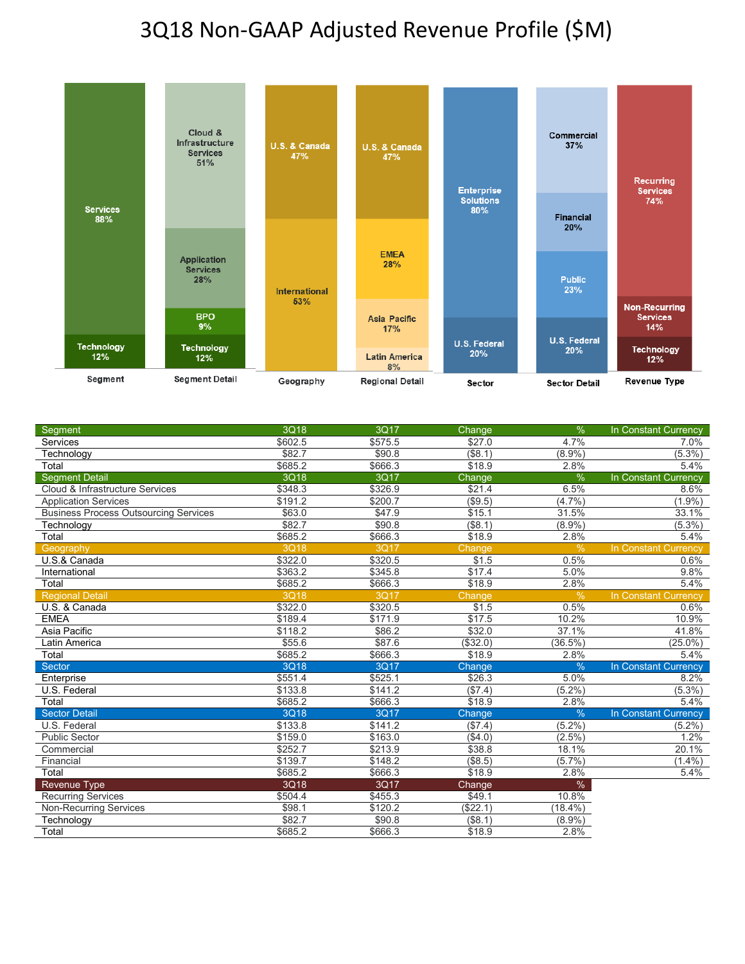### 3Q18 Non-GAAP Adjusted Revenue Profile (\$M)



| Segment                                      | 3Q18        | 3Q17    | Change     | %             | In Constant Currency        |
|----------------------------------------------|-------------|---------|------------|---------------|-----------------------------|
| Services                                     | \$602.5     | \$575.5 | \$27.0     | 4.7%          | 7.0%                        |
| Technology                                   | \$82.7      | \$90.8  | $($ \$8.1) | $(8.9\%)$     | $(5.3\%)$                   |
| Total                                        | \$685.2     | \$666.3 | \$18.9     | 2.8%          | 5.4%                        |
| <b>Segment Detail</b>                        | 3Q18        | 3Q17    | Change     | %             | In Constant Currency        |
| Cloud & Infrastructure Services              | \$348.3     | \$326.9 | \$21.4     | 6.5%          | 8.6%                        |
| <b>Application Services</b>                  | \$191.2     | \$200.7 | (\$9.5)    | (4.7%)        | $(1.9\%)$                   |
| <b>Business Process Outsourcing Services</b> | \$63.0      | \$47.9  | \$15.1     | 31.5%         | 33.1%                       |
| Technology                                   | \$82.7      | \$90.8  | (\$8.1)    | $(8.9\%)$     | $(5.3\%)$                   |
| Total                                        | \$685.2     | \$666.3 | \$18.9     | 2.8%          | 5.4%                        |
| Geography                                    | <b>3Q18</b> | 3Q17    | Change     | $\frac{0}{0}$ | In Constant Currency        |
| U.S.& Canada                                 | \$322.0     | \$320.5 | \$1.5      | 0.5%          | 0.6%                        |
| International                                | \$363.2     | \$345.8 | \$17.4     | 5.0%          | 9.8%                        |
| Total                                        | \$685.2     | \$666.3 | \$18.9     | 2.8%          | 5.4%                        |
| <b>Regional Detail</b>                       | 3Q18        | 3Q17    | Change     | $\frac{0}{0}$ | <b>In Constant Currency</b> |
| U.S. & Canada                                | \$322.0     | \$320.5 | \$1.5      | 0.5%          | 0.6%                        |
| <b>EMEA</b>                                  | \$189.4     | \$171.9 | \$17.5     | 10.2%         | 10.9%                       |
| Asia Pacific                                 | \$118.2     | \$86.2  | \$32.0     | 37.1%         | 41.8%                       |
| Latin America                                | \$55.6      | \$87.6  | ( \$32.0)  | $(36.5\%)$    | $(25.0\%)$                  |
| Total                                        | \$685.2     | \$666.3 | \$18.9     | 2.8%          | 5.4%                        |
| Sector                                       | 3Q18        | 3Q17    | Change     | $\%$          | In Constant Currency        |
| Enterprise                                   | \$551.4     | \$525.1 | \$26.3     | 5.0%          | 8.2%                        |
| U.S. Federal                                 | \$133.8     | \$141.2 | (\$7.4)    | $(5.2\%)$     | $(5.3\%)$                   |
| Total                                        | \$685.2     | \$666.3 | \$18.9     | 2.8%          | 5.4%                        |
| <b>Sector Detail</b>                         | 3Q18        | 3Q17    | Change     | $\frac{0}{6}$ | In Constant Currency        |
| U.S. Federal                                 | \$133.8     | \$141.2 | (\$7.4)    | $(5.2\%)$     | $(5.2\%)$                   |
| <b>Public Sector</b>                         | \$159.0     | \$163.0 | (\$4.0)    | $(2.5\%)$     | 1.2%                        |
| Commercial                                   | \$252.7     | \$213.9 | \$38.8     | 18.1%         | 20.1%                       |
| Financial                                    | \$139.7     | \$148.2 | $($ \$8.5) | (5.7%)        | $(1.4\%)$                   |
| Total                                        | \$685.2     | \$666.3 | \$18.9     | 2.8%          | 5.4%                        |
| Revenue Type                                 | 3Q18        | 3Q17    | Change     | $\%$          |                             |
| <b>Recurring Services</b>                    | \$504.4     | \$455.3 | \$49.1     | 10.8%         |                             |
| <b>Non-Recurring Services</b>                | \$98.1      | \$120.2 | (\$22.1)   | $(18.4\%)$    |                             |
| Technology                                   | \$82.7      | \$90.8  | (\$8.1)    | (8.9%         |                             |
| Total                                        | \$685.2     | \$666.3 | \$18.9     | 2.8%          |                             |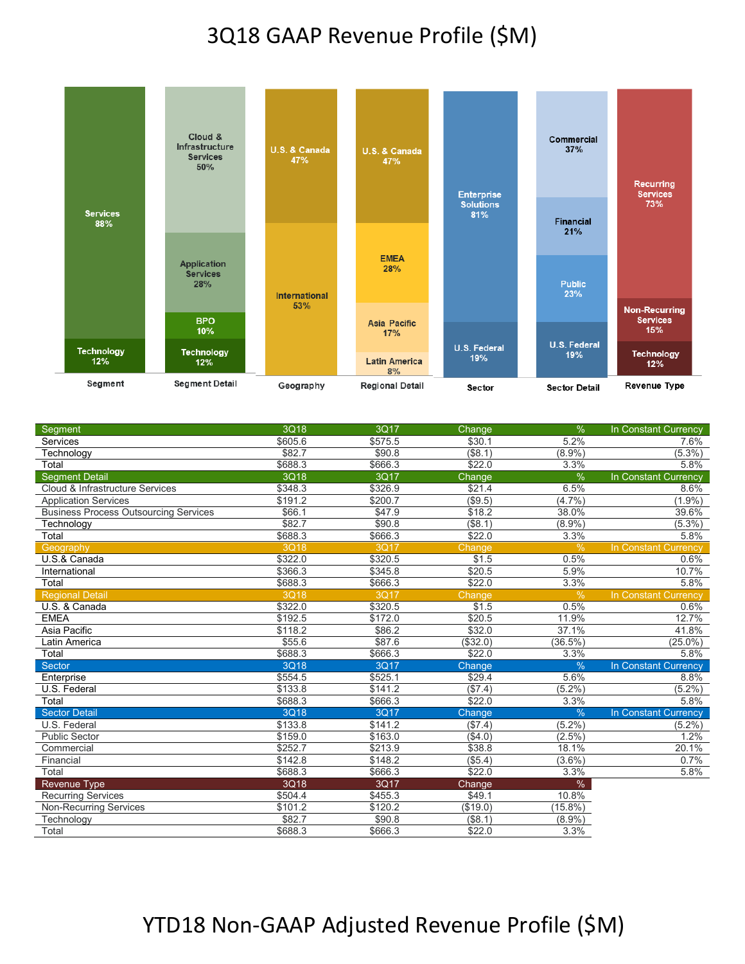#### 3Q18 GAAP Revenue Profile (\$M)



| Segment                                      | 3Q18    | 3Q17                | Change     | $\%$          | In Constant Currency |
|----------------------------------------------|---------|---------------------|------------|---------------|----------------------|
| Services                                     | \$605.6 | \$575.5             | \$30.1     | 5.2%          | 7.6%                 |
| Technology                                   | \$82.7  | \$90.8              | $($ \$8.1) | $(8.9\%)$     | $(5.3\%)$            |
| Total                                        | \$688.3 | \$666.3             | \$22.0     | 3.3%          | 5.8%                 |
| <b>Segment Detail</b>                        | 3Q18    | 3Q17                | Change     | %             | In Constant Currency |
| Cloud & Infrastructure Services              | \$348.3 | \$326.9             | \$21.4     | 6.5%          | 8.6%                 |
| <b>Application Services</b>                  | \$191.2 | \$200.7             | (\$9.5)    | (4.7%)        | $(1.9\%)$            |
| <b>Business Process Outsourcing Services</b> | \$66.1  | \$47.9              | \$18.2     | 38.0%         | 39.6%                |
| Technology                                   | \$82.7  | \$90.8              | $($ \$8.1) | $(8.9\%)$     | $(5.3\%)$            |
| Total                                        | \$688.3 | \$666.3             | \$22.0     | 3.3%          | 5.8%                 |
| Geography                                    | 3Q18    | 3Q17                | Change     | %             | In Constant Currency |
| U.S.& Canada                                 | \$322.0 | \$320.5             | \$1.5      | 0.5%          | 0.6%                 |
| International                                | \$366.3 | \$345.8             | \$20.5     | 5.9%          | 10.7%                |
| Total                                        | \$688.3 | \$666.3             | \$22.0     | 3.3%          | 5.8%                 |
| <b>Regional Detail</b>                       | 3Q18    | 3Q17                | Change     | %             | In Constant Currency |
| U.S. & Canada                                | \$322.0 | \$320.5             | \$1.5      | 0.5%          | 0.6%                 |
| <b>EMEA</b>                                  | \$192.5 | $\overline{$172.0}$ | \$20.5     | 11.9%         | 12.7%                |
| Asia Pacific                                 | \$118.2 | \$86.2              | \$32.0     | 37.1%         | 41.8%                |
| Latin America                                | \$55.6  | \$87.6              | (\$32.0)   | $(36.5\%)$    | $(25.0\%)$           |
| Total                                        | \$688.3 | \$666.3             | \$22.0     | 3.3%          | 5.8%                 |
| Sector                                       | 3Q18    | 3Q17                | Change     | %             | In Constant Currency |
| Enterprise                                   | \$554.5 | \$525.1             | \$29.4     | 5.6%          | 8.8%                 |
| U.S. Federal                                 | \$133.8 | \$141.2             | (\$7.4)    | $(5.2\%)$     | $(5.2\%)$            |
| Total                                        | \$688.3 | \$666.3             | \$22.0     | 3.3%          | 5.8%                 |
| <b>Sector Detail</b>                         | 3Q18    | 3Q17                | Change     | $\frac{9}{6}$ | In Constant Currency |
| U.S. Federal                                 | \$133.8 | \$141.2             | (\$7.4)    | $(5.2\%)$     | $(5.2\%)$            |
| <b>Public Sector</b>                         | \$159.0 | \$163.0             | (\$4.0)    | (2.5%)        | 1.2%                 |
| Commercial                                   | \$252.7 | \$213.9             | \$38.8     | 18.1%         | 20.1%                |
| Financial                                    | \$142.8 | \$148.2             | (\$5.4)    | $(3.6\%)$     | 0.7%                 |
| Total                                        | \$688.3 | \$666.3             | \$22.0     | 3.3%          | 5.8%                 |
| <b>Revenue Type</b>                          | 3Q18    | 3Q17                | Change     | $\%$          |                      |
| <b>Recurring Services</b>                    | \$504.4 | \$455.3             | \$49.1     | 10.8%         |                      |
| <b>Non-Recurring Services</b>                | \$101.2 | \$120.2             | (\$19.0)   | 15.8%         |                      |
| Technology                                   | \$82.7  | \$90.8              | (\$8.1)    | $(8.9\%)$     |                      |
| Total                                        | \$688.3 | \$666.3             | \$22.0     | 3.3%          |                      |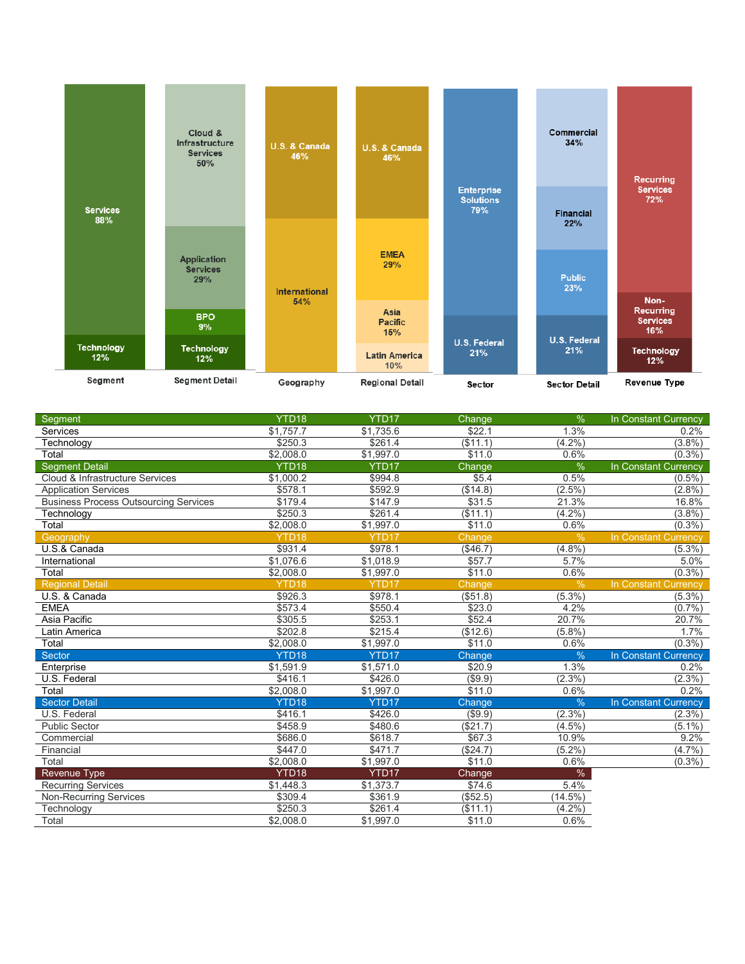

| Segment                                      | YTD <sub>18</sub> | YTD <sub>17</sub> | Change        | $\frac{9}{6}$ | In Constant Currency        |
|----------------------------------------------|-------------------|-------------------|---------------|---------------|-----------------------------|
| Services                                     | \$1,757.7         | \$1,735.6         | \$22.1        | 1.3%          | 0.2%                        |
| Technology                                   | \$250.3           | \$261.4           | (\$11.1)      | $(4.2\%)$     | $(3.8\%)$                   |
| Total                                        | \$2.008.0         | \$1,997.0         | \$11.0        | 0.6%          | (0.3%)                      |
| <b>Segment Detail</b>                        | YTD18             | YTD17             | Change        | %             | <b>In Constant Currency</b> |
| Cloud & Infrastructure Services              | \$1,000.2         | \$994.8           | \$5.4         | 0.5%          | $(0.5\%)$                   |
| <b>Application Services</b>                  | \$578.1           | \$592.9           | (\$14.8)      | $(2.5\%)$     | $(2.8\%)$                   |
| <b>Business Process Outsourcing Services</b> | \$179.4           | \$147.9           | \$31.5        | 21.3%         | 16.8%                       |
| Technology                                   | \$250.3           | \$261.4           | (\$11.1)      | $(4.2\%)$     | (3.8%)                      |
| Total                                        | \$2,008.0         | \$1,997.0         | \$11.0        | 0.6%          | $(0.3\%)$                   |
| Geography                                    | YTD <sub>18</sub> | YTD <sub>17</sub> | Change        | %             | In Constant Currency        |
| U.S.& Canada                                 | \$931.4           | \$978.1           | $(*46.7)$     | (4.8%)        | $(5.3\%)$                   |
| International                                | \$1,076.6         | \$1,018.9         | \$57.7        | 5.7%          | 5.0%                        |
| Total                                        | \$2,008.0         | \$1,997.0         | \$11.0        | 0.6%          | (0.3%                       |
| <b>Regional Detail</b>                       | YTD <sub>18</sub> | YTD <sub>17</sub> | Change        | $\frac{9}{6}$ | <b>In Constant Currency</b> |
| U.S. & Canada                                | \$926.3           | \$978.1           | (\$51.8)      | (5.3%)        | $(5.3\%)$                   |
| <b>EMEA</b>                                  | \$573.4           | \$550.4           | \$23.0        | 4.2%          | (0.7%                       |
| Asia Pacific                                 | \$305.5           | \$253.1           | \$52.4        | 20.7%         | 20.7%                       |
| Latin America                                | \$202.8           | \$215.4           | (\$12.6)      | (5.8%)        | 1.7%                        |
| Total                                        | \$2,008.0         | \$1,997.0         | \$11.0        | 0.6%          | $(0.3\%)$                   |
| Sector                                       | YTD <sub>18</sub> | YTD <sub>17</sub> | Change        | $\frac{0}{0}$ | In Constant Currency        |
| Enterprise                                   | \$1,591.9         | \$1,571.0         | \$20.9        | 1.3%          | 0.2%                        |
| U.S. Federal                                 | \$416.1           | \$426.0           | (\$9.9)       | (2.3%)        | $(2.3\%)$                   |
| Total                                        | \$2,008.0         | \$1,997.0         | \$11.0        | 0.6%          | 0.2%                        |
| <b>Sector Detail</b>                         | YTD <sub>18</sub> | YTD <sub>17</sub> | <b>Change</b> | $\frac{0}{0}$ | In Constant Currency        |
| U.S. Federal                                 | \$416.1           | \$426.0           | (\$9.9)       | (2.3%)        | $(2.3\%)$                   |
| <b>Public Sector</b>                         | \$458.9           | \$480.6           | (\$21.7)      | $(4.5\%)$     | $(5.1\%)$                   |
| Commercial                                   | \$686.0           | \$618.7           | \$67.3        | 10.9%         | 9.2%                        |
| Financial                                    | \$447.0           | \$471.7           | ( \$24.7)     | (5.2%)        | (4.7%)                      |
| Total                                        | \$2,008.0         | \$1,997.0         | \$11.0        | 0.6%          | $(0.3\%)$                   |
| <b>Revenue Type</b>                          | YTD <sub>18</sub> | YTD <sub>17</sub> | Change        | %             |                             |
| <b>Recurring Services</b>                    | \$1,448.3         | \$1,373.7         | \$74.6        | 5.4%          |                             |
| <b>Non-Recurring Services</b>                | \$309.4           | \$361.9           | (\$52.5)      | $(14.5\%)$    |                             |
| Technology                                   | \$250.3           | \$261.4           | $($ \$11.1)   | $(4.2\%)$     |                             |
| Total                                        | \$2,008.0         | \$1,997.0         | \$11.0        | 0.6%          |                             |